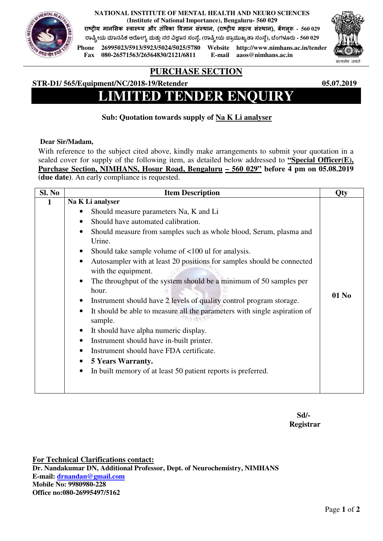**NATIONAL INSTITUTE OF MENTAL HEALTH AND NEURO SCIENCES (Institute of National Importance), Bengaluru- 560 029** 

राष्ट्रीय मानसिक स्वास्थ्य और तंत्रिका विज्ञान सस्थान, (राष्ट्रीय महत्व सस्थान), बेगलूरु - 560 029

**ಾೕಯ ಾನ ಕ ಆೋಗ ಮತುನರ ಾನ ಸಂೆ, (ಾೕಯ ಾಮುಖಾ ಸಂೆ), ೆಂಗಳ!ರು - 560 029**



**Phone 26995023/5913/5923/5024/5025/5780 Website http://www.nimhans.ac.in/tender Fax 080-26571563/26564830/2121/6811 E-mail aaos@nimhans.ac.in** 



## **PURCHASE SECTION**

### **STR-D1/ 565/Equipment/NC/2018-19/Retender 05.07.2019**

# **LIMITED TENDER ENQUIRY**

## **Sub: Quotation towards supply of Na K Li analyser**

#### **Dear Sir/Madam,**

With reference to the subject cited above, kindly make arrangements to submit your quotation in a sealed cover for supply of the following item, as detailed below addressed to **"Special Officer(E), Purchase Section, NIMHANS, Hosur Road, Bengaluru – 560 029" before 4 pm on 05.08.2019 (due date)**. An early compliance is requested.

| Sl. No | <b>Item Description</b>                                                                                    | <b>Qty</b> |
|--------|------------------------------------------------------------------------------------------------------------|------------|
|        | Na K Li analyser                                                                                           |            |
|        | Should measure parameters Na, K and Li                                                                     |            |
|        | Should have automated calibration.                                                                         |            |
|        | Should measure from samples such as whole blood, Serum, plasma and<br>$\bullet$                            |            |
|        | Urine.                                                                                                     |            |
|        | Should take sample volume of <100 ul for analysis.<br>$\bullet$                                            |            |
|        | Autosampler with at least 20 positions for samples should be connected<br>$\bullet$<br>with the equipment. |            |
|        | The throughput of the system should be a minimum of 50 samples per<br>$\bullet$                            |            |
|        | hour.                                                                                                      | 01 No      |
|        | Instrument should have 2 levels of quality control program storage.<br>$\bullet$                           |            |
|        | It should be able to measure all the parameters with single aspiration of<br>$\bullet$<br>sample.          |            |
|        | It should have alpha numeric display.<br>$\bullet$                                                         |            |
|        | Instrument should have in-built printer.<br>$\bullet$                                                      |            |
|        | Instrument should have FDA certificate.<br>$\bullet$                                                       |            |
|        | <b>5 Years Warranty.</b><br>$\bullet$                                                                      |            |
|        | In built memory of at least 50 patient reports is preferred.<br>$\bullet$                                  |            |
|        |                                                                                                            |            |
|        |                                                                                                            |            |

 **Sd/- Registrar** 

**For Technical Clarifications contact: Dr. Nandakumar DN, Additional Professor, Dept. of Neurochemistry, NIMHANS E-mail: drnandan@gmail.com Mobile No: 9980980-228 Office no:080-26995497/5162**